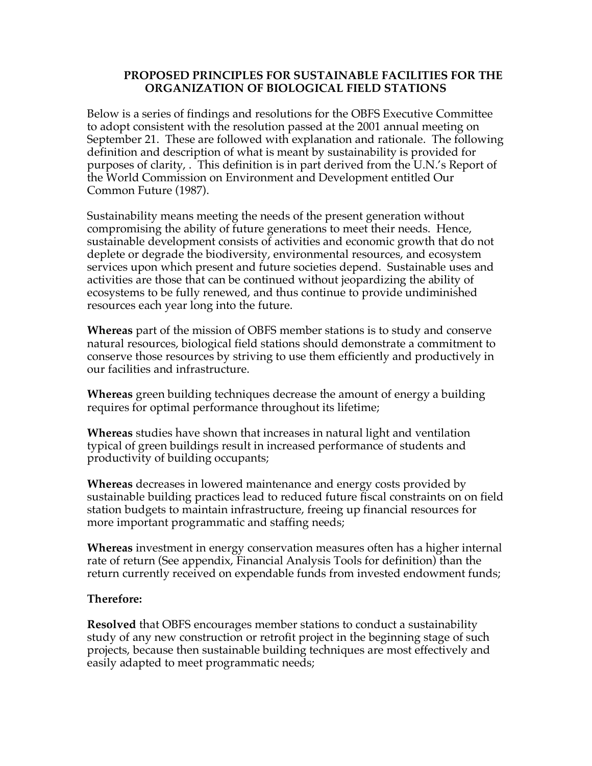### **PROPOSED PRINCIPLES FOR SUSTAINABLE FACILITIES FOR THE ORGANIZATION OF BIOLOGICAL FIELD STATIONS**

Below is a series of findings and resolutions for the OBFS Executive Committee to adopt consistent with the resolution passed at the 2001 annual meeting on September 21. These are followed with explanation and rationale. The following definition and description of what is meant by sustainability is provided for purposes of clarity, . This definition is in part derived from the U.N.'s Report of the World Commission on Environment and Development entitled Our Common Future (1987).

Sustainability means meeting the needs of the present generation without compromising the ability of future generations to meet their needs. Hence, sustainable development consists of activities and economic growth that do not deplete or degrade the biodiversity, environmental resources, and ecosystem services upon which present and future societies depend. Sustainable uses and activities are those that can be continued without jeopardizing the ability of ecosystems to be fully renewed, and thus continue to provide undiminished resources each year long into the future.

**Whereas** part of the mission of OBFS member stations is to study and conserve natural resources, biological field stations should demonstrate a commitment to conserve those resources by striving to use them efficiently and productively in our facilities and infrastructure.

**Whereas** green building techniques decrease the amount of energy a building requires for optimal performance throughout its lifetime;

**Whereas** studies have shown that increases in natural light and ventilation typical of green buildings result in increased performance of students and productivity of building occupants;

**Whereas** decreases in lowered maintenance and energy costs provided by sustainable building practices lead to reduced future fiscal constraints on on field station budgets to maintain infrastructure, freeing up financial resources for more important programmatic and staffing needs;

**Whereas** investment in energy conservation measures often has a higher internal rate of return (See appendix, Financial Analysis Tools for definition) than the return currently received on expendable funds from invested endowment funds;

### **Therefore:**

**Resolved** that OBFS encourages member stations to conduct a sustainability study of any new construction or retrofit project in the beginning stage of such projects, because then sustainable building techniques are most effectively and easily adapted to meet programmatic needs;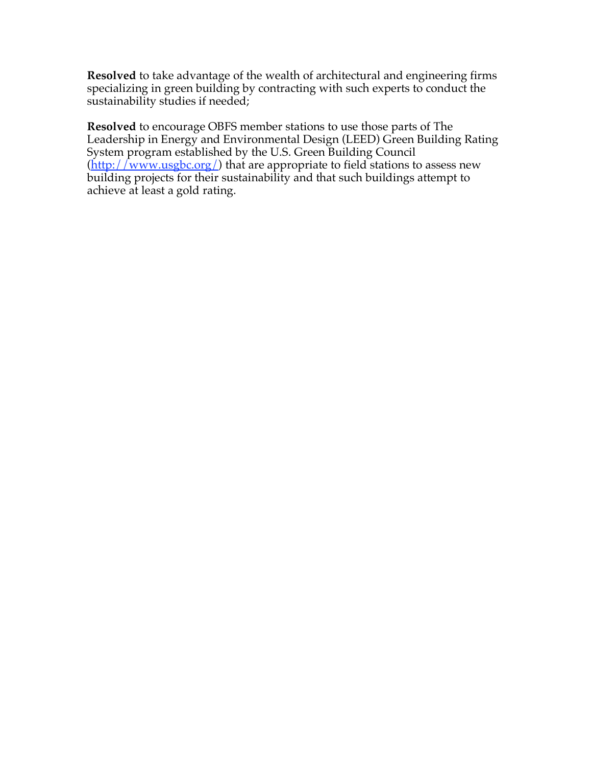**Resolved** to take advantage of the wealth of architectural and engineering firms specializing in green building by contracting with such experts to conduct the sustainability studies if needed;

**Resolved** to encourage OBFS member stations to use those parts of The Leadership in Energy and Environmental Design (LEED) Green Building Rating System program established by the U.S. Green Building Council  $(\underline{http://www.usgbc.org/})$  that are appropriate to field stations to assess new building projects for their sustainability and that such buildings attempt to achieve at least a gold rating.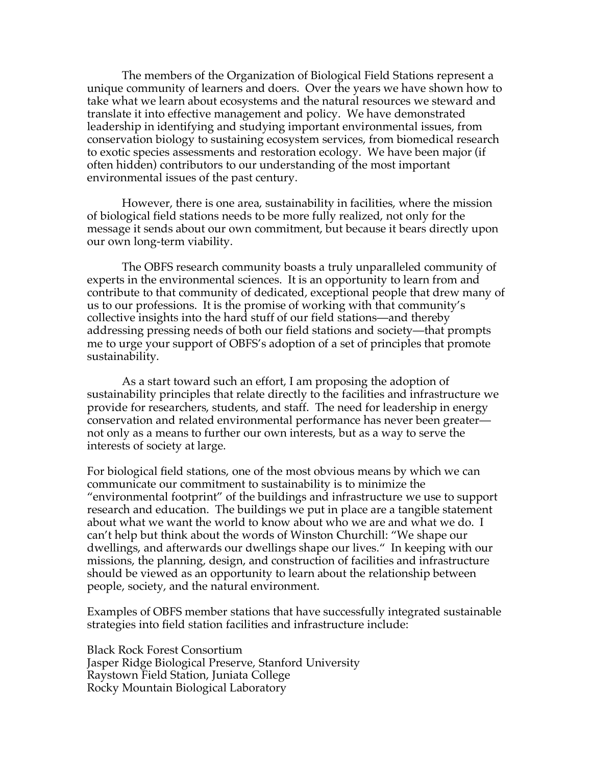The members of the Organization of Biological Field Stations represent a unique community of learners and doers. Over the years we have shown how to take what we learn about ecosystems and the natural resources we steward and translate it into effective management and policy. We have demonstrated leadership in identifying and studying important environmental issues, from conservation biology to sustaining ecosystem services, from biomedical research to exotic species assessments and restoration ecology. We have been major (if often hidden) contributors to our understanding of the most important environmental issues of the past century.

However, there is one area, sustainability in facilities, where the mission of biological field stations needs to be more fully realized, not only for the message it sends about our own commitment, but because it bears directly upon our own long-term viability.

The OBFS research community boasts a truly unparalleled community of experts in the environmental sciences. It is an opportunity to learn from and contribute to that community of dedicated, exceptional people that drew many of us to our professions. It is the promise of working with that community's collective insights into the hard stuff of our field stations—and thereby addressing pressing needs of both our field stations and society—that prompts me to urge your support of OBFS's adoption of a set of principles that promote sustainability.

As a start toward such an effort, I am proposing the adoption of sustainability principles that relate directly to the facilities and infrastructure we provide for researchers, students, and staff. The need for leadership in energy conservation and related environmental performance has never been greater not only as a means to further our own interests, but as a way to serve the interests of society at large.

For biological field stations, one of the most obvious means by which we can communicate our commitment to sustainability is to minimize the "environmental footprint" of the buildings and infrastructure we use to support research and education. The buildings we put in place are a tangible statement about what we want the world to know about who we are and what we do. I can't help but think about the words of Winston Churchill: "We shape our dwellings, and afterwards our dwellings shape our lives." In keeping with our missions, the planning, design, and construction of facilities and infrastructure should be viewed as an opportunity to learn about the relationship between people, society, and the natural environment.

Examples of OBFS member stations that have successfully integrated sustainable strategies into field station facilities and infrastructure include:

Black Rock Forest Consortium Jasper Ridge Biological Preserve, Stanford University Raystown Field Station, Juniata College Rocky Mountain Biological Laboratory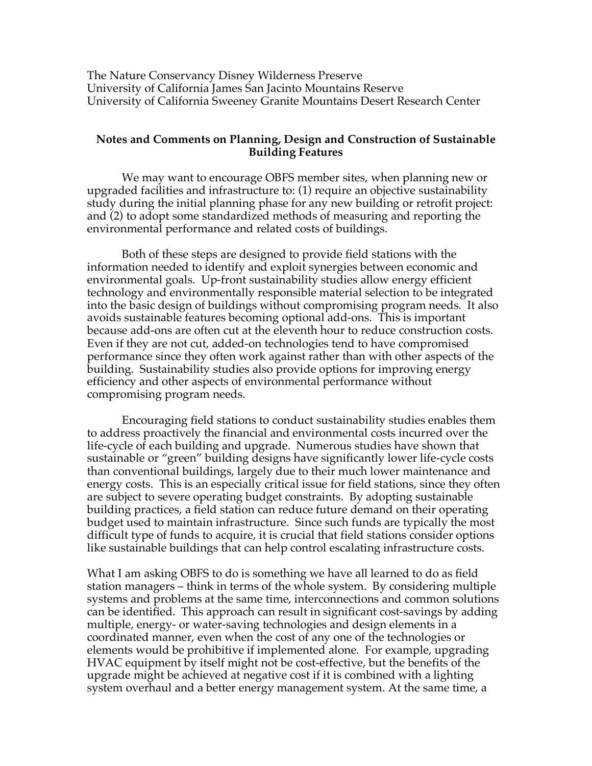The Nature Conservancy Disney Wilderness Preserve University of California James San Jacinto Mountains Reserve University of California Sweeney Granite Mountains Desert Research Center

#### **Notes and Comments on Planning, Design and Construction of Sustainable Building Features**

We may want to encourage OBFS member sites, when planning new or upgraded facilities and infrastructure to: (1) require an objective sustainability study during the initial planning phase for any new building or retrofit project: and (2) to adopt some standardized methods of measuring and reporting the environmental performance and related costs of buildings.

Both of these steps are designed to provide field stations with the information needed to identify and exploit synergies between economic and environmental goals. Up-front sustainability studies allow energy efficient technology and environmentally responsible material selection to be integrated into the basic design of buildings without compromising program needs. It also avoids sustainable features becoming optional add-ons. This is important because add-ons are often cut at the eleventh hour to reduce construction costs. Even if they are not cut, added-on technologies tend to have compromised performance since they often work against rather than with other aspects of the building. Sustainability studies also provide options for improving energy efficiency and other aspects of environmental performance without compromising program needs.

Encouraging field stations to conduct sustainability studies enables them to address proactively the financial and environmental costs incurred over the life-cycle of each building and upgrade. Numerous studies have shown that sustainable or "green" building designs have significantly lower life-cycle costs than conventional buildings, largely due to their much lower maintenance and energy costs. This is an especially critical issue for field stations, since they often are subject to severe operating budget constraints. By adopting sustainable building practices, a field station can reduce future demand on their operating budget used to maintain infrastructure. Since such funds are typically the most difficult type of funds to acquire, it is crucial that field stations consider options like sustainable buildings that can help control escalating infrastructure costs.

What I am asking OBFS to do is something we have all learned to do as field station managers – think in terms of the whole system. By considering multiple systems and problems at the same time, interconnections and common solutions can be identified. This approach can result in significant cost-savings by adding multiple, energy- or water-saving technologies and design elements in a coordinated manner, even when the cost of any one of the technologies or elements would be prohibitive if implemented alone. For example, upgrading HVAC equipment by itself might not be cost-effective, but the benefits of the upgrade might be achieved at negative cost if it is combined with a lighting system overhaul and a better energy management system. At the same time, a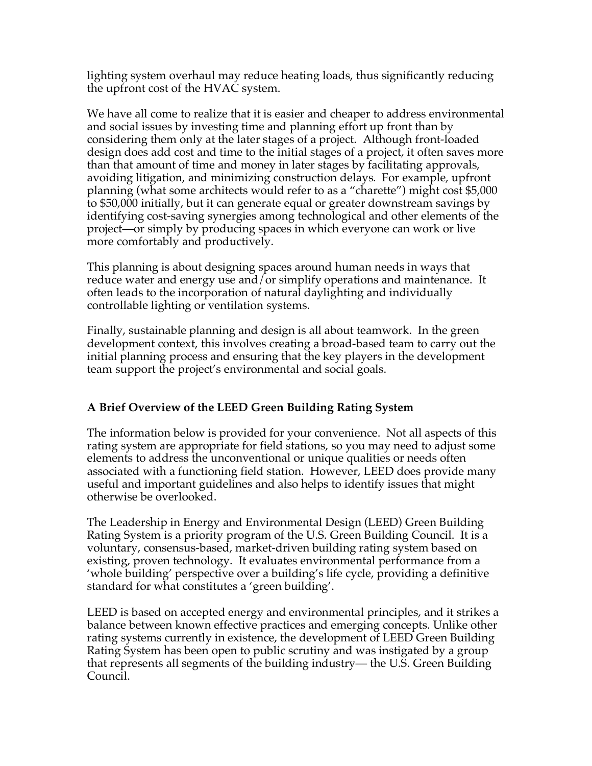lighting system overhaul may reduce heating loads, thus significantly reducing the upfront cost of the HVAC system.

We have all come to realize that it is easier and cheaper to address environmental and social issues by investing time and planning effort up front than by considering them only at the later stages of a project. Although front-loaded design does add cost and time to the initial stages of a project, it often saves more than that amount of time and money in later stages by facilitating approvals, avoiding litigation, and minimizing construction delays. For example, upfront planning (what some architects would refer to as a "charette") might cost \$5,000 to \$50,000 initially, but it can generate equal or greater downstream savings by identifying cost-saving synergies among technological and other elements of the project—or simply by producing spaces in which everyone can work or live more comfortably and productively.

This planning is about designing spaces around human needs in ways that reduce water and energy use and/or simplify operations and maintenance. It often leads to the incorporation of natural daylighting and individually controllable lighting or ventilation systems.

Finally, sustainable planning and design is all about teamwork. In the green development context, this involves creating a broad-based team to carry out the initial planning process and ensuring that the key players in the development team support the project's environmental and social goals.

## **A Brief Overview of the LEED Green Building Rating System**

The information below is provided for your convenience. Not all aspects of this rating system are appropriate for field stations, so you may need to adjust some elements to address the unconventional or unique qualities or needs often associated with a functioning field station. However, LEED does provide many useful and important guidelines and also helps to identify issues that might otherwise be overlooked.

The Leadership in Energy and Environmental Design (LEED) Green Building Rating System is a priority program of the U.S. Green Building Council. It is a voluntary, consensus-based, market-driven building rating system based on existing, proven technology. It evaluates environmental performance from a 'whole building' perspective over a building's life cycle, providing a definitive standard for what constitutes a 'green building'.

LEED is based on accepted energy and environmental principles, and it strikes a balance between known effective practices and emerging concepts. Unlike other rating systems currently in existence, the development of LEED Green Building Rating System has been open to public scrutiny and was instigated by a group that represents all segments of the building industry— the U.S. Green Building Council.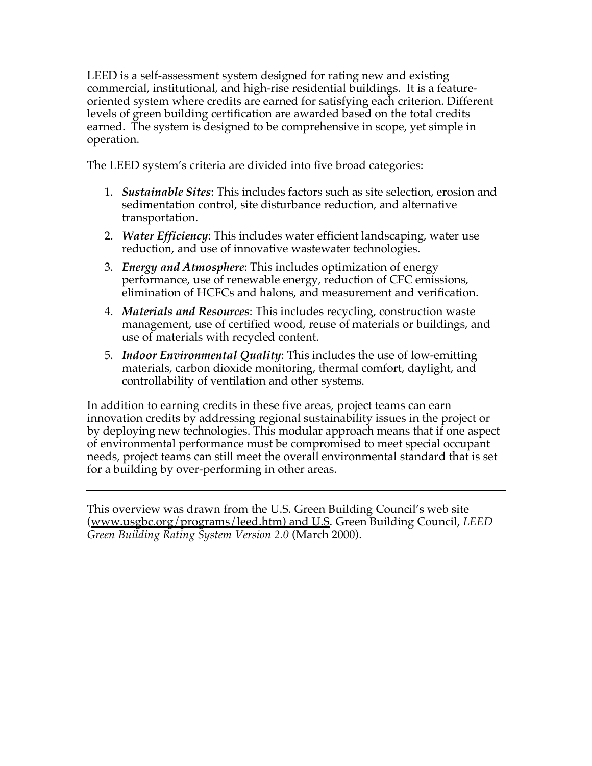LEED is a self-assessment system designed for rating new and existing commercial, institutional, and high-rise residential buildings. It is a featureoriented system where credits are earned for satisfying each criterion. Different levels of green building certification are awarded based on the total credits earned. The system is designed to be comprehensive in scope, yet simple in operation.

The LEED system's criteria are divided into five broad categories:

- 1. *Sustainable Sites*: This includes factors such as site selection, erosion and sedimentation control, site disturbance reduction, and alternative transportation.
- 2. *Water Efficiency*: This includes water efficient landscaping, water use reduction, and use of innovative wastewater technologies.
- 3. *Energy and Atmosphere*: This includes optimization of energy performance, use of renewable energy, reduction of CFC emissions, elimination of HCFCs and halons, and measurement and verification.
- 4. *Materials and Resources*: This includes recycling, construction waste management, use of certified wood, reuse of materials or buildings, and use of materials with recycled content.
- 5. *Indoor Environmental Quality*: This includes the use of low-emitting materials, carbon dioxide monitoring, thermal comfort, daylight, and controllability of ventilation and other systems.

In addition to earning credits in these five areas, project teams can earn innovation credits by addressing regional sustainability issues in the project or by deploying new technologies. This modular approach means that if one aspect of environmental performance must be compromised to meet special occupant needs, project teams can still meet the overall environmental standard that is set for a building by over-performing in other areas.

This overview was drawn from the U.S. Green Building Council's web site (www.usgbc.org/programs/leed.htm) and U.S. Green Building Council, *LEED Green Building Rating System Version 2.0* (March 2000).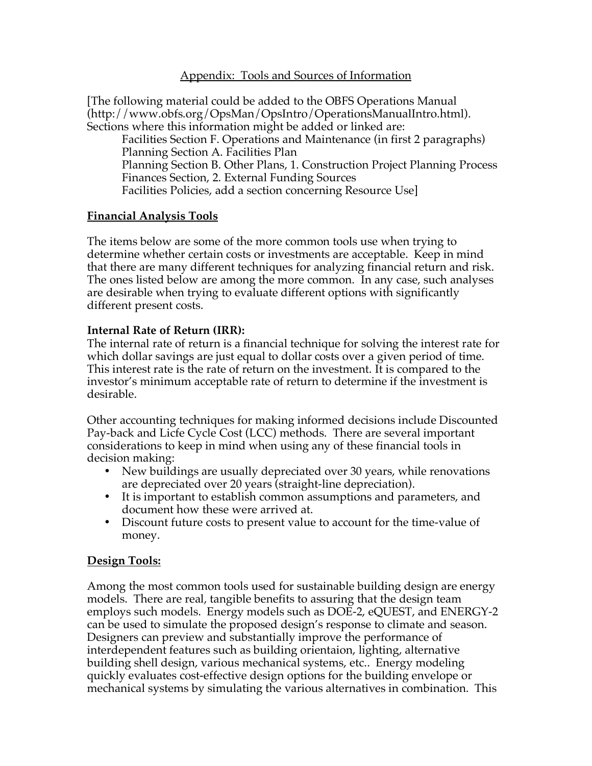### Appendix: Tools and Sources of Information

[The following material could be added to the OBFS Operations Manual (http://www.obfs.org/OpsMan/OpsIntro/OperationsManualIntro.html). Sections where this information might be added or linked are: Facilities Section F. Operations and Maintenance (in first 2 paragraphs) Planning Section A. Facilities Plan Planning Section B. Other Plans, 1. Construction Project Planning Process Finances Section, 2. External Funding Sources Facilities Policies, add a section concerning Resource Use]

### **Financial Analysis Tools**

The items below are some of the more common tools use when trying to determine whether certain costs or investments are acceptable. Keep in mind that there are many different techniques for analyzing financial return and risk. The ones listed below are among the more common. In any case, such analyses are desirable when trying to evaluate different options with significantly different present costs.

### **Internal Rate of Return (IRR):**

The internal rate of return is a financial technique for solving the interest rate for which dollar savings are just equal to dollar costs over a given period of time. This interest rate is the rate of return on the investment. It is compared to the investor's minimum acceptable rate of return to determine if the investment is desirable.

Other accounting techniques for making informed decisions include Discounted Pay-back and Licfe Cycle Cost (LCC) methods. There are several important considerations to keep in mind when using any of these financial tools in decision making:

- New buildings are usually depreciated over 30 years, while renovations are depreciated over 20 years (straight-line depreciation).
- It is important to establish common assumptions and parameters, and document how these were arrived at.
- Discount future costs to present value to account for the time-value of money.

#### **Design Tools:**

Among the most common tools used for sustainable building design are energy models. There are real, tangible benefits to assuring that the design team employs such models. Energy models such as DOE-2, eQUEST, and ENERGY-2 can be used to simulate the proposed design's response to climate and season. Designers can preview and substantially improve the performance of interdependent features such as building orientaion, lighting, alternative building shell design, various mechanical systems, etc.. Energy modeling quickly evaluates cost-effective design options for the building envelope or mechanical systems by simulating the various alternatives in combination. This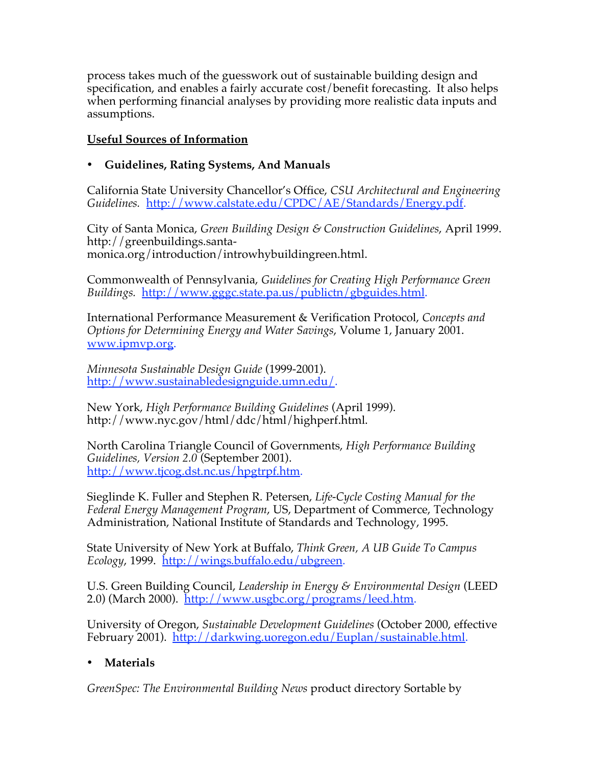process takes much of the guesswork out of sustainable building design and specification, and enables a fairly accurate cost/benefit forecasting. It also helps when performing financial analyses by providing more realistic data inputs and assumptions.

## **Useful Sources of Information**

## • **Guidelines, Rating Systems, And Manuals**

California State University Chancellor's Office, *CSU Architectural and Engineering Guidelines.* http://www.calstate.edu/CPDC/AE/Standards/Energy.pdf.

City of Santa Monica, *Green Building Design & Construction Guidelines*, April 1999. http://greenbuildings.santamonica.org/introduction/introwhybuildingreen.html.

Commonwealth of Pennsylvania, *Guidelines for Creating High Performance Green Buildings.* http://www.gggc.state.pa.us/publictn/gbguides.html.

International Performance Measurement & Verification Protocol, *Concepts and Options for Determining Energy and Water Savings*, Volume 1, January 2001. www.ipmvp.org.

*Minnesota Sustainable Design Guide* (1999-2001). http://www.sustainabledesignguide.umn.edu/.

New York, *High Performance Building Guidelines* (April 1999). http://www.nyc.gov/html/ddc/html/highperf.html.

North Carolina Triangle Council of Governments, *High Performance Building Guidelines, Version 2.0* (September 2001). http://www.tjcog.dst.nc.us/hpgtrpf.htm.

Sieglinde K. Fuller and Stephen R. Petersen, *Life-Cycle Costing Manual for the Federal Energy Management Program*, US, Department of Commerce, Technology Administration, National Institute of Standards and Technology, 1995.

State University of New York at Buffalo, *Think Green, A UB Guide To Campus Ecology*, 1999. http://wings.buffalo.edu/ubgreen.

U.S. Green Building Council, *Leadership in Energy & Environmental Design* (LEED 2.0) (March 2000). http://www.usgbc.org/programs/leed.htm.

University of Oregon, *Sustainable Development Guidelines* (October 2000, effective February 2001). http://darkwing.uoregon.edu/Euplan/sustainable.html.

# • **Materials**

*GreenSpec: The Environmental Building News* product directory Sortable by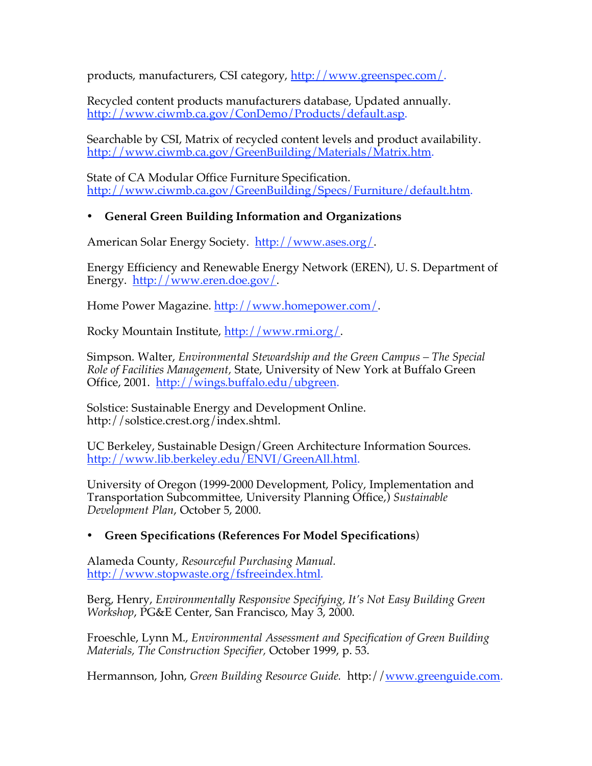products, manufacturers, CSI category, http://www.greenspec.com/.

Recycled content products manufacturers database, Updated annually. http://www.ciwmb.ca.gov/ConDemo/Products/default.asp.

Searchable by CSI, Matrix of recycled content levels and product availability. http://www.ciwmb.ca.gov/GreenBuilding/Materials/Matrix.htm.

State of CA Modular Office Furniture Specification. http://www.ciwmb.ca.gov/GreenBuilding/Specs/Furniture/default.htm.

## • **General Green Building Information and Organizations**

American Solar Energy Society. http://www.ases.org/.

Energy Efficiency and Renewable Energy Network (EREN), U. S. Department of Energy. http://www.eren.doe.gov/.

Home Power Magazine. http://www.homepower.com/.

Rocky Mountain Institute, http://www.rmi.org/.

Simpson. Walter, *Environmental Stewardship and the Green Campus – The Special Role of Facilities Management,* State, University of New York at Buffalo Green Office, 2001. http://wings.buffalo.edu/ubgreen.

Solstice: Sustainable Energy and Development Online. http://solstice.crest.org/index.shtml.

UC Berkeley, Sustainable Design/Green Architecture Information Sources. http://www.lib.berkeley.edu/ENVI/GreenAll.html.

University of Oregon (1999-2000 Development, Policy, Implementation and Transportation Subcommittee, University Planning Office,) *Sustainable Development Plan*, October 5, 2000.

## • **Green Specifications (References For Model Specifications**)

Alameda County, *Resourceful Purchasing Manual.* http://www.stopwaste.org/fsfreeindex.html.

Berg, Henry, *Environmentally Responsive Specifying, It's Not Easy Building Green Workshop*, PG&E Center, San Francisco, May 3, 2000.

Froeschle, Lynn M., *Environmental Assessment and Specification of Green Building Materials, The Construction Specifier,* October 1999, p. 53.

Hermannson, John, *Green Building Resource Guide.* http://www.greenguide.com.